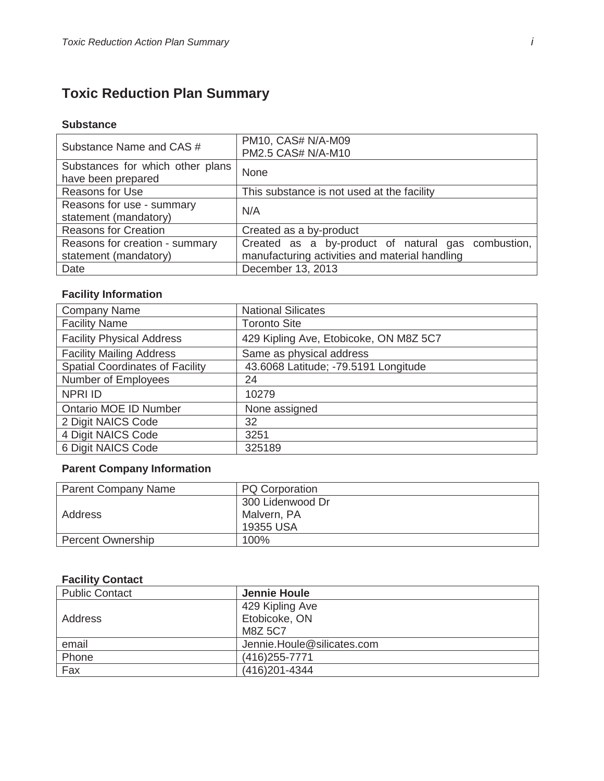# **Toxic Reduction Plan Summary**

#### **Substance**

| Substance Name and CAS #                               | PM10, CAS# N/A-M09<br>PM2.5 CAS# N/A-M10           |  |  |  |  |  |  |
|--------------------------------------------------------|----------------------------------------------------|--|--|--|--|--|--|
| Substances for which other plans<br>have been prepared | <b>None</b>                                        |  |  |  |  |  |  |
| <b>Reasons for Use</b>                                 | This substance is not used at the facility         |  |  |  |  |  |  |
| Reasons for use - summary<br>statement (mandatory)     | N/A                                                |  |  |  |  |  |  |
| <b>Reasons for Creation</b>                            | Created as a by-product                            |  |  |  |  |  |  |
| Reasons for creation - summary                         | Created as a by-product of natural gas combustion, |  |  |  |  |  |  |
| statement (mandatory)                                  | manufacturing activities and material handling     |  |  |  |  |  |  |
| Date                                                   | December 13, 2013                                  |  |  |  |  |  |  |

### **Facility Information**

| <b>Company Name</b>                    | <b>National Silicates</b>              |  |  |  |
|----------------------------------------|----------------------------------------|--|--|--|
| <b>Facility Name</b>                   | <b>Toronto Site</b>                    |  |  |  |
| <b>Facility Physical Address</b>       | 429 Kipling Ave, Etobicoke, ON M8Z 5C7 |  |  |  |
| <b>Facility Mailing Address</b>        | Same as physical address               |  |  |  |
| <b>Spatial Coordinates of Facility</b> | 43.6068 Latitude; -79.5191 Longitude   |  |  |  |
| Number of Employees                    | 24                                     |  |  |  |
| <b>NPRI ID</b>                         | 10279                                  |  |  |  |
| <b>Ontario MOE ID Number</b>           | None assigned                          |  |  |  |
| 2 Digit NAICS Code                     | 32                                     |  |  |  |
| 4 Digit NAICS Code                     | 3251                                   |  |  |  |
| 6 Digit NAICS Code                     | 325189                                 |  |  |  |

## **Parent Company Information**

| <b>Parent Company Name</b> | <b>PQ Corporation</b> |
|----------------------------|-----------------------|
|                            | 300 Lidenwood Dr      |
| Address                    | Malvern, PA           |
|                            | 19355 USA             |
| <b>Percent Ownership</b>   | 100%                  |

#### **Facility Contact**

| <b>Public Contact</b> | <b>Jennie Houle</b>        |
|-----------------------|----------------------------|
|                       | 429 Kipling Ave            |
| Address               | Etobicoke, ON              |
|                       | M8Z 5C7                    |
| email                 | Jennie.Houle@silicates.com |
| Phone                 | (416) 255-7771             |
| Fax                   | (416) 201-4344             |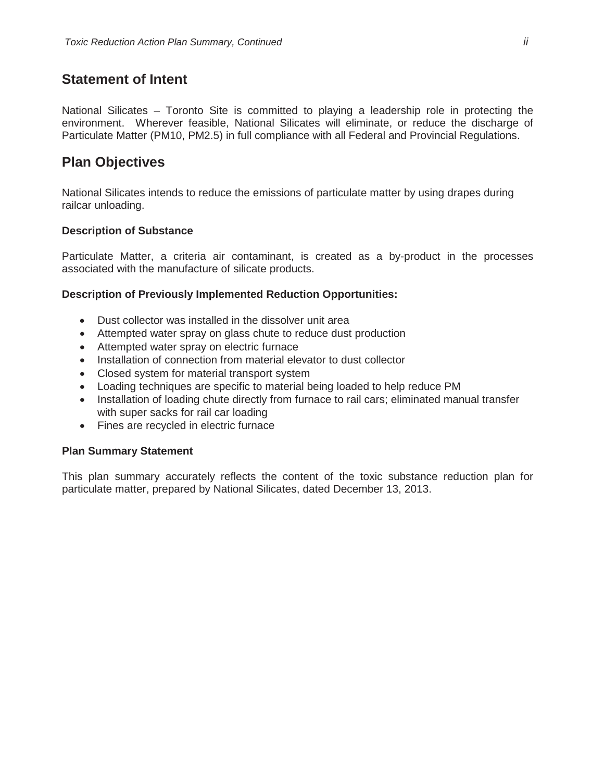## **Statement of Intent**

National Silicates – Toronto Site is committed to playing a leadership role in protecting the environment. Wherever feasible, National Silicates will eliminate, or reduce the discharge of Particulate Matter (PM10, PM2.5) in full compliance with all Federal and Provincial Regulations.

## **Plan Objectives**

National Silicates intends to reduce the emissions of particulate matter by using drapes during railcar unloading.

#### **Description of Substance**

Particulate Matter, a criteria air contaminant, is created as a by-product in the processes associated with the manufacture of silicate products.

#### **Description of Previously Implemented Reduction Opportunities:**

- Dust collector was installed in the dissolver unit area
- Attempted water spray on glass chute to reduce dust production
- Attempted water spray on electric furnace
- Installation of connection from material elevator to dust collector
- Closed system for material transport system
- Loading techniques are specific to material being loaded to help reduce PM
- Installation of loading chute directly from furnace to rail cars; eliminated manual transfer with super sacks for rail car loading
- Fines are recycled in electric furnace

#### **Plan Summary Statement**

This plan summary accurately reflects the content of the toxic substance reduction plan for particulate matter, prepared by National Silicates, dated December 13, 2013.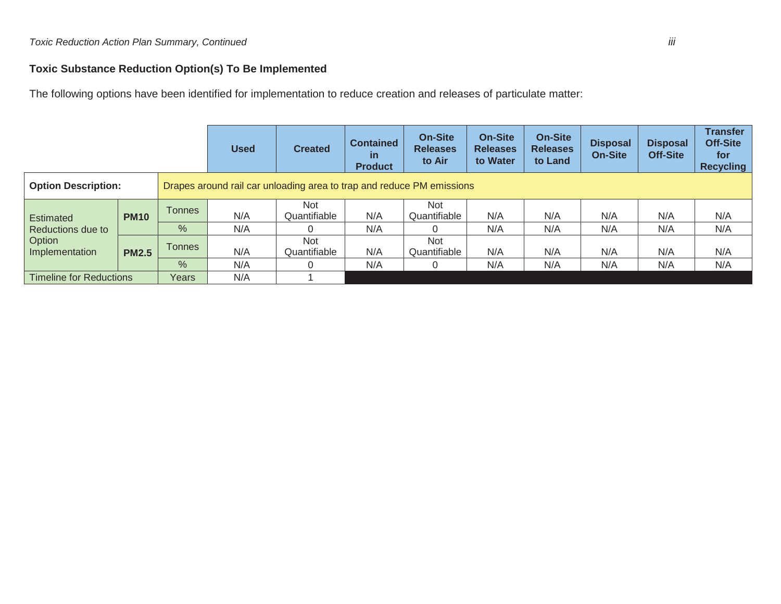### **Toxic Substance Reduction Option(s) To Be Implemented**

The following options have been identified for implementation to reduce creation and releases of particulate matter:

|                                                                   |              |               | <b>Used</b>                                                           | <b>Created</b>      | <b>Contained</b><br>$\mathsf{in}$<br><b>Product</b> | <b>On-Site</b><br><b>Releases</b><br>to Air | <b>On-Site</b><br><b>Releases</b><br>to Water | <b>On-Site</b><br><b>Releases</b><br>to Land | <b>Disposal</b><br><b>On-Site</b> | <b>Disposal</b><br><b>Off-Site</b> | <b>Transfer</b><br>Off-Site<br>for <b>f</b><br><b>Recycling</b> |
|-------------------------------------------------------------------|--------------|---------------|-----------------------------------------------------------------------|---------------------|-----------------------------------------------------|---------------------------------------------|-----------------------------------------------|----------------------------------------------|-----------------------------------|------------------------------------|-----------------------------------------------------------------|
| <b>Option Description:</b>                                        |              |               | Drapes around rail car unloading area to trap and reduce PM emissions |                     |                                                     |                                             |                                               |                                              |                                   |                                    |                                                                 |
| <b>Estimated</b><br>Reductions due to<br>Option<br>Implementation | <b>PM10</b>  | <b>Tonnes</b> | N/A                                                                   | Not<br>Quantifiable | N/A                                                 | <b>Not</b><br>Quantifiable                  | N/A                                           | N/A                                          | N/A                               | N/A                                | N/A                                                             |
|                                                                   |              | $\%$          | N/A                                                                   |                     | N/A                                                 |                                             | N/A                                           | N/A                                          | N/A                               | N/A                                | N/A                                                             |
|                                                                   | <b>PM2.5</b> | Tonnes        | N/A                                                                   | Not<br>Quantifiable | N/A                                                 | <b>Not</b><br>Quantifiable                  | N/A                                           | N/A                                          | N/A                               | N/A                                | N/A                                                             |
|                                                                   |              | $\%$          | N/A                                                                   |                     | N/A                                                 | 0                                           | N/A                                           | N/A                                          | N/A                               | N/A                                | N/A                                                             |
| <b>Timeline for Reductions</b>                                    |              | Years         | N/A                                                                   |                     |                                                     |                                             |                                               |                                              |                                   |                                    |                                                                 |